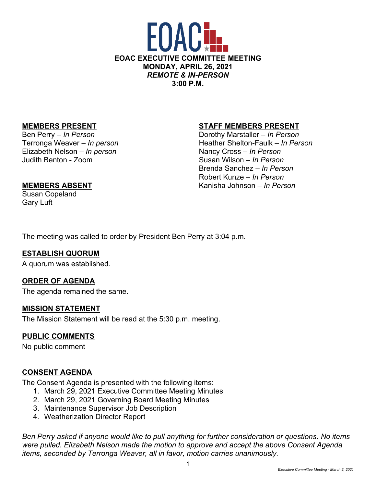

Elizabeth Nelson – *In person* Nancy Cross – *In Person* Judith Benton - Zoom Susan Wilson *– In Person*

## **MEMBERS PRESENT STAFF MEMBERS PRESENT**

Ben Perry – *In Person* **Dorothy Marstaller** – *In Person* Terronga Weaver – *In person* Entertainment Cheather Shelton-Faulk – *In Person* Brenda Sanchez – *In Person* Robert Kunze – *In Person* **MEMBERS ABSENT** Kanisha Johnson – *In Person*

Susan Copeland Gary Luft

The meeting was called to order by President Ben Perry at 3:04 p.m.

## **ESTABLISH QUORUM**

A quorum was established.

## **ORDER OF AGENDA**

The agenda remained the same.

#### **MISSION STATEMENT**

The Mission Statement will be read at the 5:30 p.m. meeting.

## **PUBLIC COMMENTS**

No public comment

## **CONSENT AGENDA**

The Consent Agenda is presented with the following items:

- 1. March 29, 2021 Executive Committee Meeting Minutes
- 2. March 29, 2021 Governing Board Meeting Minutes
- 3. Maintenance Supervisor Job Description
- 4. Weatherization Director Report

*Ben Perry asked if anyone would like to pull anything for further consideration or questions. No items were pulled. Elizabeth Nelson made the motion to approve and accept the above Consent Agenda items, seconded by Terronga Weaver, all in favor, motion carries unanimously.*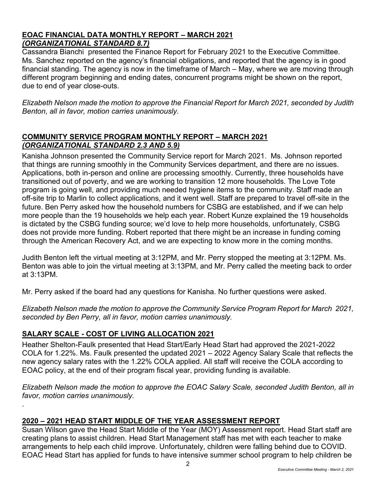## **EOAC FINANCIAL DATA MONTHLY REPORT – MARCH 2021** *(ORGANIZATIONAL STANDARD 8.7)*

Cassandra Bianchi presented the Finance Report for February 2021 to the Executive Committee. Ms. Sanchez reported on the agency's financial obligations, and reported that the agency is in good financial standing. The agency is now in the timeframe of March – May, where we are moving through different program beginning and ending dates, concurrent programs might be shown on the report, due to end of year close-outs.

*Elizabeth Nelson made the motion to approve the Financial Report for March 2021, seconded by Judith Benton, all in favor, motion carries unanimously.*

# **COMMUNITY SERVICE PROGRAM MONTHLY REPORT – MARCH 2021** *(ORGANIZATIONAL STANDARD 2.3 AND 5.9)*

Kanisha Johnson presented the Community Service report for March 2021. Ms. Johnson reported that things are running smoothly in the Community Services department, and there are no issues. Applications, both in-person and online are processing smoothly. Currently, three households have transitioned out of poverty, and we are working to transition 12 more households. The Love Tote program is going well, and providing much needed hygiene items to the community. Staff made an off-site trip to Marlin to collect applications, and it went well. Staff are prepared to travel off-site in the future. Ben Perry asked how the household numbers for CSBG are established, and if we can help more people than the 19 households we help each year. Robert Kunze explained the 19 households is dictated by the CSBG funding source; we'd love to help more households, unfortunately, CSBG does not provide more funding. Robert reported that there might be an increase in funding coming through the American Recovery Act, and we are expecting to know more in the coming months.

Judith Benton left the virtual meeting at 3:12PM, and Mr. Perry stopped the meeting at 3:12PM. Ms. Benton was able to join the virtual meeting at 3:13PM, and Mr. Perry called the meeting back to order at 3:13PM.

Mr. Perry asked if the board had any questions for Kanisha. No further questions were asked.

*Elizabeth Nelson made the motion to approve the Community Service Program Report for March 2021, seconded by Ben Perry, all in favor, motion carries unanimously.*

# **SALARY SCALE - COST OF LIVING ALLOCATION 2021**

.

Heather Shelton-Faulk presented that Head Start/Early Head Start had approved the 2021-2022 COLA for 1.22%. Ms. Faulk presented the updated 2021 – 2022 Agency Salary Scale that reflects the new agency salary rates with the 1.22% COLA applied. All staff will receive the COLA according to EOAC policy, at the end of their program fiscal year, providing funding is available.

*Elizabeth Nelson made the motion to approve the EOAC Salary Scale, seconded Judith Benton, all in favor, motion carries unanimously.*

# **2020 – 2021 HEAD START MIDDLE OF THE YEAR ASSESSMENT REPORT**

Susan Wilson gave the Head Start Middle of the Year (MOY) Assessment report. Head Start staff are creating plans to assist children. Head Start Management staff has met with each teacher to make arrangements to help each child improve. Unfortunately, children were falling behind due to COVID. EOAC Head Start has applied for funds to have intensive summer school program to help children be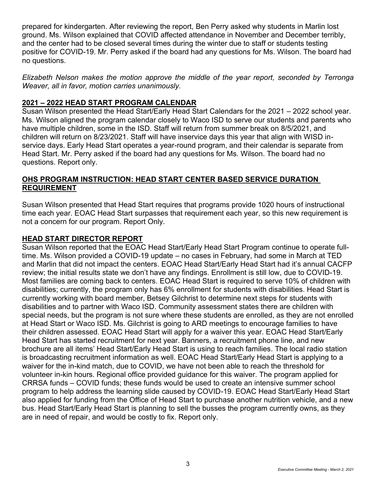prepared for kindergarten. After reviewing the report, Ben Perry asked why students in Marlin lost ground. Ms. Wilson explained that COVID affected attendance in November and December terribly, and the center had to be closed several times during the winter due to staff or students testing positive for COVID-19. Mr. Perry asked if the board had any questions for Ms. Wilson. The board had no questions.

*Elizabeth Nelson makes the motion approve the middle of the year report, seconded by Terronga Weaver, all in favor, motion carries unanimously.*

# **2021 – 2022 HEAD START PROGRAM CALENDAR**

Susan Wilson presented the Head Start/Early Head Start Calendars for the 2021 – 2022 school year. Ms. Wilson aligned the program calendar closely to Waco ISD to serve our students and parents who have multiple children, some in the ISD. Staff will return from summer break on 8/5/2021, and children will return on 8/23/2021. Staff will have inservice days this year that align with WISD inservice days. Early Head Start operates a year-round program, and their calendar is separate from Head Start. Mr. Perry asked if the board had any questions for Ms. Wilson. The board had no questions. Report only.

# **OHS PROGRAM INSTRUCTION: HEAD START CENTER BASED SERVICE DURATION REQUIREMENT**

Susan Wilson presented that Head Start requires that programs provide 1020 hours of instructional time each year. EOAC Head Start surpasses that requirement each year, so this new requirement is not a concern for our program. Report Only.

# **HEAD START DIRECTOR REPORT**

Susan Wilson reported that the EOAC Head Start/Early Head Start Program continue to operate fulltime. Ms. Wilson provided a COVID-19 update – no cases in February, had some in March at TED and Marlin that did not impact the centers. EOAC Head Start/Early Head Start had it's annual CACFP review; the initial results state we don't have any findings. Enrollment is still low, due to COVID-19. Most families are coming back to centers. EOAC Head Start is required to serve 10% of children with disabilities; currently, the program only has 6% enrollment for students with disabilities. Head Start is currently working with board member, Betsey Gilchrist to determine next steps for students with disabilities and to partner with Waco ISD. Community assessment states there are children with special needs, but the program is not sure where these students are enrolled, as they are not enrolled at Head Start or Waco ISD. Ms. Gilchrist is going to ARD meetings to encourage families to have their children assessed. EOAC Head Start will apply for a waiver this year. EOAC Head Start/Early Head Start has started recruitment for next year. Banners, a recruitment phone line, and new brochure are all items' Head Start/Early Head Start is using to reach families. The local radio station is broadcasting recruitment information as well. EOAC Head Start/Early Head Start is applying to a waiver for the in-kind match, due to COVID, we have not been able to reach the threshold for volunteer in-kin hours. Regional office provided guidance for this waiver. The program applied for CRRSA funds – COVID funds; these funds would be used to create an intensive summer school program to help address the learning slide caused by COVID-19. EOAC Head Start/Early Head Start also applied for funding from the Office of Head Start to purchase another nutrition vehicle, and a new bus. Head Start/Early Head Start is planning to sell the busses the program currently owns, as they are in need of repair, and would be costly to fix. Report only.